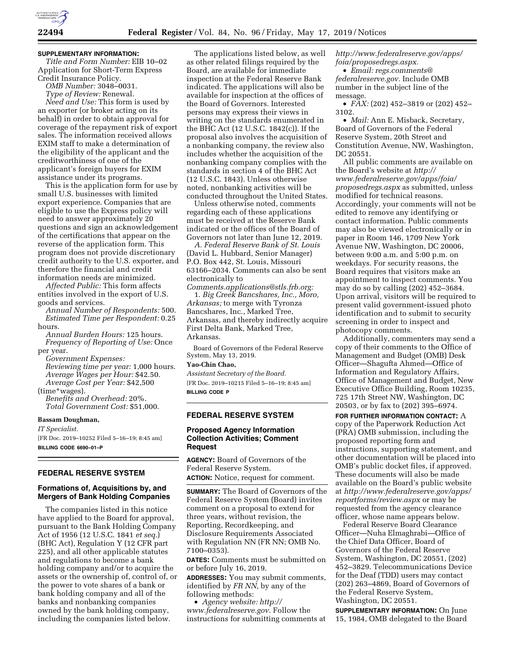

### **SUPPLEMENTARY INFORMATION:**

*Title and Form Number:* EIB 10–02 Application for Short-Term Express Credit Insurance Policy.

*OMB Number:* 3048–0031.

*Type of Review:* Renewal. *Need and Use:* This form is used by an exporter (or broker acting on its behalf) in order to obtain approval for coverage of the repayment risk of export sales. The information received allows EXIM staff to make a determination of the eligibility of the applicant and the creditworthiness of one of the applicant's foreign buyers for EXIM assistance under its programs.

This is the application form for use by small U.S. businesses with limited export experience. Companies that are eligible to use the Express policy will need to answer approximately 20 questions and sign an acknowledgement of the certifications that appear on the reverse of the application form. This program does not provide discretionary credit authority to the U.S. exporter, and therefore the financial and credit information needs are minimized.

*Affected Public:* This form affects entities involved in the export of U.S. goods and services.

*Annual Number of Respondents:* 500. *Estimated Time per Respondent:* 0.25 hours.

*Annual Burden Hours:* 125 hours. *Frequency of Reporting of Use:* Once per year.

*Government Expenses: Reviewing time per year:* 1,000 hours. *Average Wages per Hour:* \$42.50. *Average Cost per Year:* \$42,500 (time\*wages).

*Benefits and Overhead:* 20%. *Total Government Cost:* \$51,000.

## **Bassam Doughman,**

*IT Specialist.* 

[FR Doc. 2019–10252 Filed 5–16–19; 8:45 am] **BILLING CODE 6690–01–P** 

# **FEDERAL RESERVE SYSTEM**

# **Formations of, Acquisitions by, and Mergers of Bank Holding Companies**

The companies listed in this notice have applied to the Board for approval, pursuant to the Bank Holding Company Act of 1956 (12 U.S.C. 1841 *et seq.*) (BHC Act), Regulation Y (12 CFR part 225), and all other applicable statutes and regulations to become a bank holding company and/or to acquire the assets or the ownership of, control of, or the power to vote shares of a bank or bank holding company and all of the banks and nonbanking companies owned by the bank holding company, including the companies listed below.

The applications listed below, as well as other related filings required by the Board, are available for immediate inspection at the Federal Reserve Bank indicated. The applications will also be available for inspection at the offices of the Board of Governors. Interested persons may express their views in writing on the standards enumerated in the BHC Act (12 U.S.C. 1842(c)). If the proposal also involves the acquisition of a nonbanking company, the review also includes whether the acquisition of the nonbanking company complies with the standards in section 4 of the BHC Act (12 U.S.C. 1843). Unless otherwise noted, nonbanking activities will be conducted throughout the United States.

Unless otherwise noted, comments regarding each of these applications must be received at the Reserve Bank indicated or the offices of the Board of Governors not later than June 12, 2019.

*A. Federal Reserve Bank of St. Louis*  (David L. Hubbard, Senior Manager) P.O. Box 442, St. Louis, Missouri 63166–2034. Comments can also be sent electronically to

*[Comments.applications@stls.frb.org:](mailto:Comments.applications@stls.frb.org)*  1. *Big Creek Bancshares, Inc., Moro, Arkansas;* to merge with Tyronza Bancshares, Inc., Marked Tree, Arkansas, and thereby indirectly acquire First Delta Bank, Marked Tree, Arkansas.

Board of Governors of the Federal Reserve System, May 13, 2019.

#### **Yao-Chin Chao,**

*Assistant Secretary of the Board.* 

[FR Doc. 2019–10215 Filed 5–16–19; 8:45 am] **BILLING CODE P** 

# **FEDERAL RESERVE SYSTEM**

### **Proposed Agency Information Collection Activities; Comment Request**

**AGENCY:** Board of Governors of the Federal Reserve System. **ACTION:** Notice, request for comment.

**SUMMARY:** The Board of Governors of the Federal Reserve System (Board) invites comment on a proposal to extend for three years, without revision, the Reporting, Recordkeeping, and Disclosure Requirements Associated with Regulation NN (FR NN; OMB No. 7100–0353).

**DATES:** Comments must be submitted on or before July 16, 2019.

**ADDRESSES:** You may submit comments, identified by *FR NN,* by any of the following methods:

• *Agency website: [http://](http://www.federalreserve.gov) [www.federalreserve.gov.](http://www.federalreserve.gov)* Follow the instructions for submitting comments at *[http://www.federalreserve.gov/apps/](http://www.federalreserve.gov/apps/foia/proposedregs.aspx) [foia/proposedregs.aspx.](http://www.federalreserve.gov/apps/foia/proposedregs.aspx)* 

• *Email: [regs.comments@](mailto:regs.comments@federalreserve.gov) [federalreserve.gov.](mailto:regs.comments@federalreserve.gov)* Include OMB number in the subject line of the message.

• *FAX:* (202) 452–3819 or (202) 452– 3102.

• *Mail:* Ann E. Misback, Secretary, Board of Governors of the Federal Reserve System, 20th Street and Constitution Avenue, NW, Washington, DC 20551.

All public comments are available on the Board's website at *[http://](http://www.federalreserve.gov/apps/foia/proposedregs.aspx) [www.federalreserve.gov/apps/foia/](http://www.federalreserve.gov/apps/foia/proposedregs.aspx) [proposedregs.aspx](http://www.federalreserve.gov/apps/foia/proposedregs.aspx)* as submitted, unless modified for technical reasons. Accordingly, your comments will not be edited to remove any identifying or contact information. Public comments may also be viewed electronically or in paper in Room 146, 1709 New York Avenue NW, Washington, DC 20006, between 9:00 a.m. and 5:00 p.m. on weekdays. For security reasons, the Board requires that visitors make an appointment to inspect comments. You may do so by calling (202) 452–3684. Upon arrival, visitors will be required to present valid government-issued photo identification and to submit to security screening in order to inspect and photocopy comments.

Additionally, commenters may send a copy of their comments to the Office of Management and Budget (OMB) Desk Officer—Shagufta Ahmed—Office of Information and Regulatory Affairs, Office of Management and Budget, New Executive Office Building, Room 10235, 725 17th Street NW, Washington, DC 20503, or by fax to (202) 395–6974.

**FOR FURTHER INFORMATION CONTACT:** A copy of the Paperwork Reduction Act (PRA) OMB submission, including the proposed reporting form and instructions, supporting statement, and other documentation will be placed into OMB's public docket files, if approved. These documents will also be made available on the Board's public website at *[http://www.federalreserve.gov/apps/](http://www.federalreserve.gov/apps/reportforms/review.aspx) [reportforms/review.aspx](http://www.federalreserve.gov/apps/reportforms/review.aspx)* or may be requested from the agency clearance officer, whose name appears below.

Federal Reserve Board Clearance Officer—Nuha Elmaghrabi—Office of the Chief Data Officer, Board of Governors of the Federal Reserve System, Washington, DC 20551, (202) 452–3829. Telecommunications Device for the Deaf (TDD) users may contact (202) 263–4869, Board of Governors of the Federal Reserve System, Washington, DC 20551.

**SUPPLEMENTARY INFORMATION:** On June 15, 1984, OMB delegated to the Board